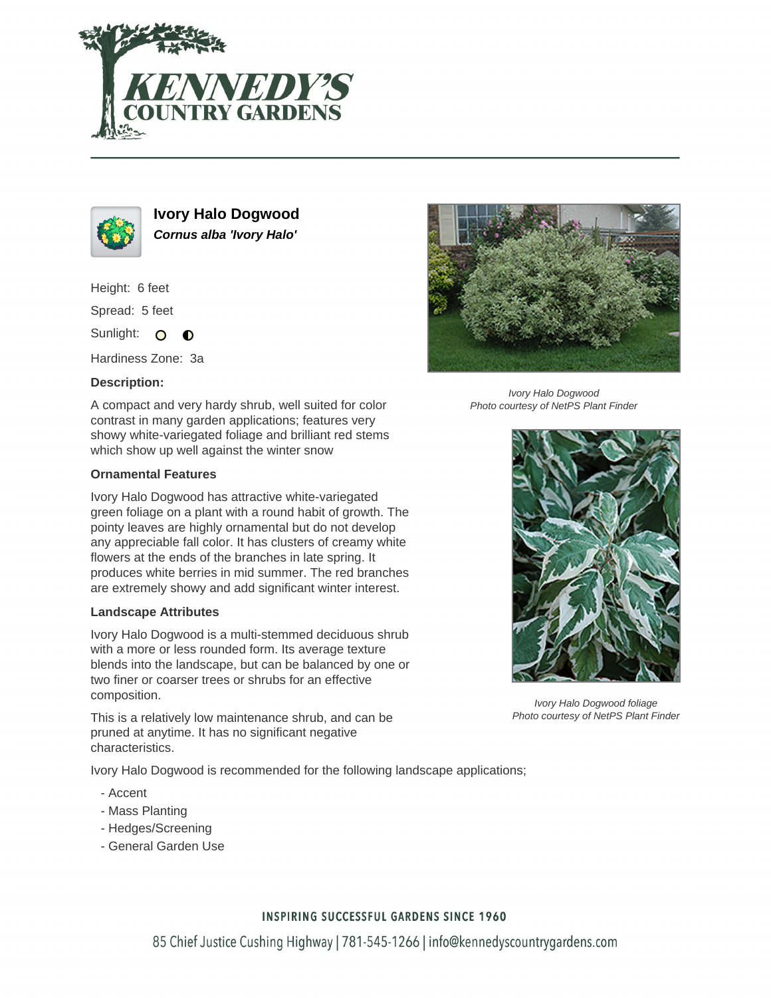



**Ivory Halo Dogwood Cornus alba 'Ivory Halo'**

Height: 6 feet

Spread: 5 feet

Sunlight: O  $\bullet$ 

Hardiness Zone: 3a

# **Description:**

A compact and very hardy shrub, well suited for color contrast in many garden applications; features very showy white-variegated foliage and brilliant red stems which show up well against the winter snow

# **Ornamental Features**

Ivory Halo Dogwood has attractive white-variegated green foliage on a plant with a round habit of growth. The pointy leaves are highly ornamental but do not develop any appreciable fall color. It has clusters of creamy white flowers at the ends of the branches in late spring. It produces white berries in mid summer. The red branches are extremely showy and add significant winter interest.

### **Landscape Attributes**

Ivory Halo Dogwood is a multi-stemmed deciduous shrub with a more or less rounded form. Its average texture blends into the landscape, but can be balanced by one or two finer or coarser trees or shrubs for an effective composition.

This is a relatively low maintenance shrub, and can be pruned at anytime. It has no significant negative characteristics.

Ivory Halo Dogwood is recommended for the following landscape applications;

- Accent
- Mass Planting
- Hedges/Screening
- General Garden Use



Ivory Halo Dogwood Photo courtesy of NetPS Plant Finder



Ivory Halo Dogwood foliage Photo courtesy of NetPS Plant Finder

### **INSPIRING SUCCESSFUL GARDENS SINCE 1960**

85 Chief Justice Cushing Highway | 781-545-1266 | info@kennedyscountrygardens.com